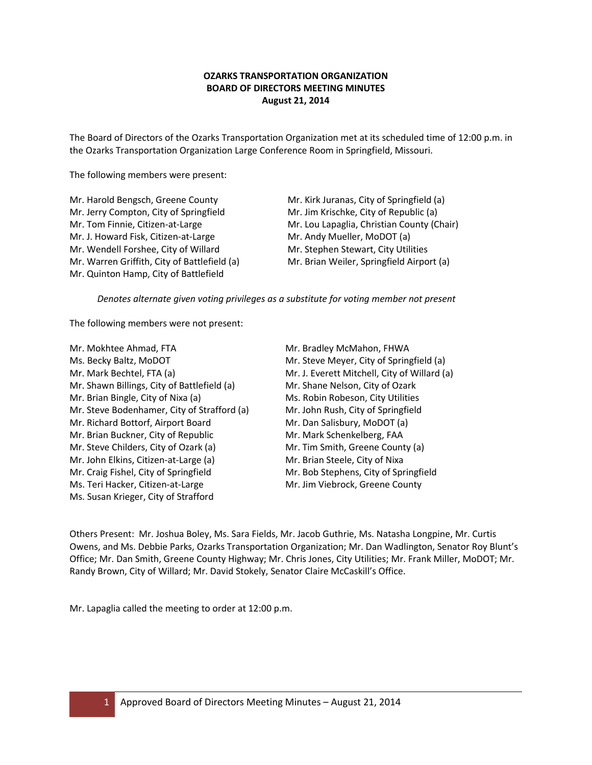# **OZARKS TRANSPORTATION ORGANIZATION BOARD OF DIRECTORS MEETING MINUTES August 21, 2014**

The Board of Directors of the Ozarks Transportation Organization met at its scheduled time of 12:00 p.m. in the Ozarks Transportation Organization Large Conference Room in Springfield, Missouri.

The following members were present:

Mr. Harold Bengsch, Greene County Mr. Kirk Juranas, City of Springfield (a) Mr. Jerry Compton, City of Springfield Mr. Jim Krischke, City of Republic (a) Mr. J. Howard Fisk, Citizen-at-Large Mr. Andy Mueller, MoDOT (a) Mr. Wendell Forshee, City of Willard Mr. Stephen Stewart, City Utilities Mr. Warren Griffith, City of Battlefield (a) Mr. Brian Weiler, Springfield Airport (a) Mr. Quinton Hamp, City of Battlefield

Mr. Tom Finnie, Citizen-at-Large Mr. Lou Lapaglia, Christian County (Chair)

*Denotes alternate given voting privileges as a substitute for voting member not present*

The following members were not present:

- Mr. Mokhtee Ahmad, FTA Mr. Bradley McMahon, FHWA Ms. Becky Baltz, MoDOT Mr. Steve Meyer, City of Springfield (a) Mr. Mark Bechtel, FTA (a) Mr. J. Everett Mitchell, City of Willard (a) Mr. Shawn Billings, City of Battlefield (a) Mr. Shane Nelson, City of Ozark Mr. Brian Bingle, City of Nixa (a) Ms. Robin Robeson, City Utilities Mr. Steve Bodenhamer, City of Strafford (a) Mr. John Rush, City of Springfield Mr. Richard Bottorf, Airport Board Mr. Dan Salisbury, MoDOT (a) Mr. Brian Buckner, City of Republic Mr. Mark Schenkelberg, FAA Mr. Steve Childers, City of Ozark (a) Mr. Tim Smith, Greene County (a) Mr. John Elkins, Citizen-at-Large (a) Mr. Brian Steele, City of Nixa Mr. Craig Fishel, City of Springfield Mr. Bob Stephens, City of Springfield Ms. Teri Hacker, Citizen-at-Large Mr. Jim Viebrock, Greene County Ms. Susan Krieger, City of Strafford
- 

Others Present: Mr. Joshua Boley, Ms. Sara Fields, Mr. Jacob Guthrie, Ms. Natasha Longpine, Mr. Curtis Owens, and Ms. Debbie Parks, Ozarks Transportation Organization; Mr. Dan Wadlington, Senator Roy Blunt's Office; Mr. Dan Smith, Greene County Highway; Mr. Chris Jones, City Utilities; Mr. Frank Miller, MoDOT; Mr. Randy Brown, City of Willard; Mr. David Stokely, Senator Claire McCaskill's Office.

Mr. Lapaglia called the meeting to order at 12:00 p.m.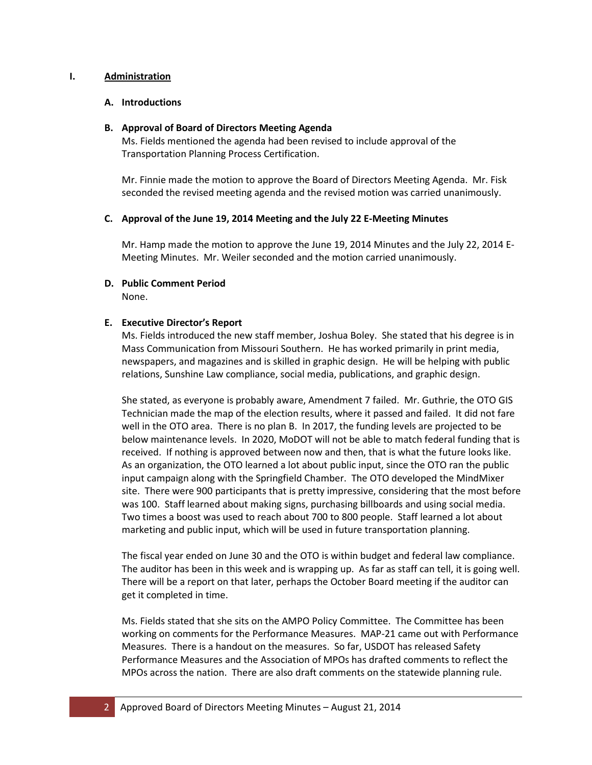### **I. Administration**

### **A. Introductions**

### **B. Approval of Board of Directors Meeting Agenda**

Ms. Fields mentioned the agenda had been revised to include approval of the Transportation Planning Process Certification.

Mr. Finnie made the motion to approve the Board of Directors Meeting Agenda. Mr. Fisk seconded the revised meeting agenda and the revised motion was carried unanimously.

# **C. Approval of the June 19, 2014 Meeting and the July 22 E-Meeting Minutes**

Mr. Hamp made the motion to approve the June 19, 2014 Minutes and the July 22, 2014 E-Meeting Minutes. Mr. Weiler seconded and the motion carried unanimously.

## **D. Public Comment Period**

None.

# **E. Executive Director's Report**

Ms. Fields introduced the new staff member, Joshua Boley. She stated that his degree is in Mass Communication from Missouri Southern. He has worked primarily in print media, newspapers, and magazines and is skilled in graphic design. He will be helping with public relations, Sunshine Law compliance, social media, publications, and graphic design.

She stated, as everyone is probably aware, Amendment 7 failed. Mr. Guthrie, the OTO GIS Technician made the map of the election results, where it passed and failed. It did not fare well in the OTO area. There is no plan B. In 2017, the funding levels are projected to be below maintenance levels. In 2020, MoDOT will not be able to match federal funding that is received. If nothing is approved between now and then, that is what the future looks like. As an organization, the OTO learned a lot about public input, since the OTO ran the public input campaign along with the Springfield Chamber. The OTO developed the MindMixer site. There were 900 participants that is pretty impressive, considering that the most before was 100. Staff learned about making signs, purchasing billboards and using social media. Two times a boost was used to reach about 700 to 800 people. Staff learned a lot about marketing and public input, which will be used in future transportation planning.

The fiscal year ended on June 30 and the OTO is within budget and federal law compliance. The auditor has been in this week and is wrapping up. As far as staff can tell, it is going well. There will be a report on that later, perhaps the October Board meeting if the auditor can get it completed in time.

Ms. Fields stated that she sits on the AMPO Policy Committee. The Committee has been working on comments for the Performance Measures. MAP-21 came out with Performance Measures. There is a handout on the measures. So far, USDOT has released Safety Performance Measures and the Association of MPOs has drafted comments to reflect the MPOs across the nation. There are also draft comments on the statewide planning rule.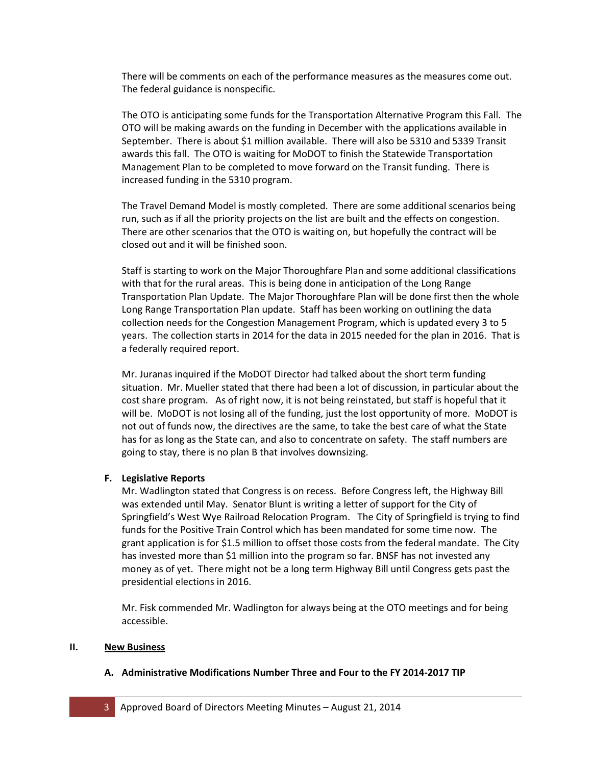There will be comments on each of the performance measures as the measures come out. The federal guidance is nonspecific.

The OTO is anticipating some funds for the Transportation Alternative Program this Fall. The OTO will be making awards on the funding in December with the applications available in September. There is about \$1 million available. There will also be 5310 and 5339 Transit awards this fall. The OTO is waiting for MoDOT to finish the Statewide Transportation Management Plan to be completed to move forward on the Transit funding. There is increased funding in the 5310 program.

The Travel Demand Model is mostly completed. There are some additional scenarios being run, such as if all the priority projects on the list are built and the effects on congestion. There are other scenarios that the OTO is waiting on, but hopefully the contract will be closed out and it will be finished soon.

Staff is starting to work on the Major Thoroughfare Plan and some additional classifications with that for the rural areas. This is being done in anticipation of the Long Range Transportation Plan Update. The Major Thoroughfare Plan will be done first then the whole Long Range Transportation Plan update. Staff has been working on outlining the data collection needs for the Congestion Management Program, which is updated every 3 to 5 years. The collection starts in 2014 for the data in 2015 needed for the plan in 2016. That is a federally required report.

Mr. Juranas inquired if the MoDOT Director had talked about the short term funding situation. Mr. Mueller stated that there had been a lot of discussion, in particular about the cost share program. As of right now, it is not being reinstated, but staff is hopeful that it will be. MoDOT is not losing all of the funding, just the lost opportunity of more. MoDOT is not out of funds now, the directives are the same, to take the best care of what the State has for as long as the State can, and also to concentrate on safety. The staff numbers are going to stay, there is no plan B that involves downsizing.

#### **F. Legislative Reports**

Mr. Wadlington stated that Congress is on recess. Before Congress left, the Highway Bill was extended until May. Senator Blunt is writing a letter of support for the City of Springfield's West Wye Railroad Relocation Program. The City of Springfield is trying to find funds for the Positive Train Control which has been mandated for some time now. The grant application is for \$1.5 million to offset those costs from the federal mandate. The City has invested more than \$1 million into the program so far. BNSF has not invested any money as of yet. There might not be a long term Highway Bill until Congress gets past the presidential elections in 2016.

Mr. Fisk commended Mr. Wadlington for always being at the OTO meetings and for being accessible.

#### **II. New Business**

#### **A. Administrative Modifications Number Three and Four to the FY 2014-2017 TIP**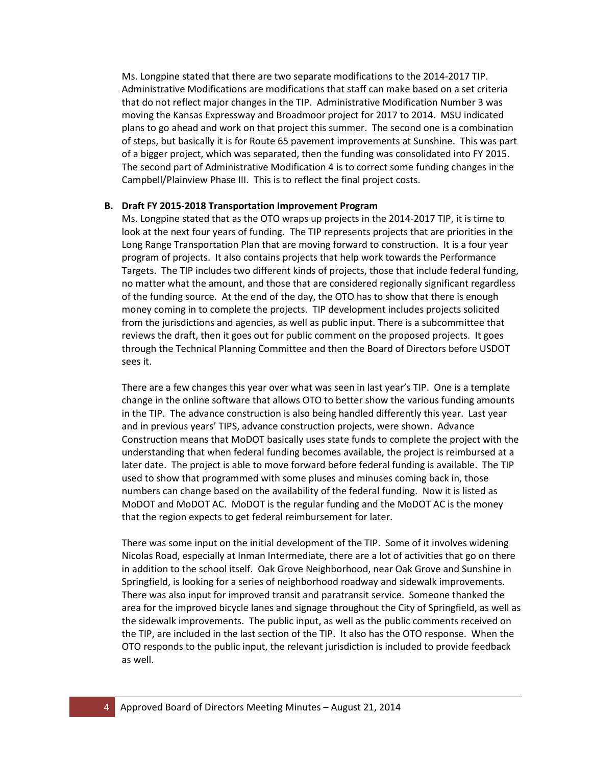Ms. Longpine stated that there are two separate modifications to the 2014-2017 TIP. Administrative Modifications are modifications that staff can make based on a set criteria that do not reflect major changes in the TIP. Administrative Modification Number 3 was moving the Kansas Expressway and Broadmoor project for 2017 to 2014. MSU indicated plans to go ahead and work on that project this summer. The second one is a combination of steps, but basically it is for Route 65 pavement improvements at Sunshine. This was part of a bigger project, which was separated, then the funding was consolidated into FY 2015. The second part of Administrative Modification 4 is to correct some funding changes in the Campbell/Plainview Phase III. This is to reflect the final project costs.

#### **B. Draft FY 2015-2018 Transportation Improvement Program**

Ms. Longpine stated that as the OTO wraps up projects in the 2014-2017 TIP, it is time to look at the next four years of funding. The TIP represents projects that are priorities in the Long Range Transportation Plan that are moving forward to construction. It is a four year program of projects. It also contains projects that help work towards the Performance Targets. The TIP includes two different kinds of projects, those that include federal funding, no matter what the amount, and those that are considered regionally significant regardless of the funding source. At the end of the day, the OTO has to show that there is enough money coming in to complete the projects. TIP development includes projects solicited from the jurisdictions and agencies, as well as public input. There is a subcommittee that reviews the draft, then it goes out for public comment on the proposed projects. It goes through the Technical Planning Committee and then the Board of Directors before USDOT sees it.

There are a few changes this year over what was seen in last year's TIP. One is a template change in the online software that allows OTO to better show the various funding amounts in the TIP. The advance construction is also being handled differently this year. Last year and in previous years' TIPS, advance construction projects, were shown. Advance Construction means that MoDOT basically uses state funds to complete the project with the understanding that when federal funding becomes available, the project is reimbursed at a later date. The project is able to move forward before federal funding is available. The TIP used to show that programmed with some pluses and minuses coming back in, those numbers can change based on the availability of the federal funding. Now it is listed as MoDOT and MoDOT AC. MoDOT is the regular funding and the MoDOT AC is the money that the region expects to get federal reimbursement for later.

There was some input on the initial development of the TIP. Some of it involves widening Nicolas Road, especially at Inman Intermediate, there are a lot of activities that go on there in addition to the school itself. Oak Grove Neighborhood, near Oak Grove and Sunshine in Springfield, is looking for a series of neighborhood roadway and sidewalk improvements. There was also input for improved transit and paratransit service. Someone thanked the area for the improved bicycle lanes and signage throughout the City of Springfield, as well as the sidewalk improvements. The public input, as well as the public comments received on the TIP, are included in the last section of the TIP. It also has the OTO response. When the OTO responds to the public input, the relevant jurisdiction is included to provide feedback as well.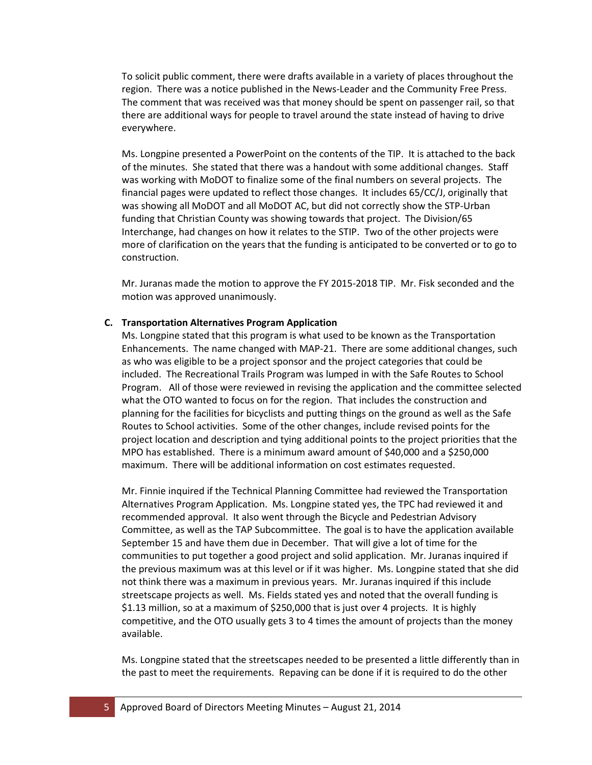To solicit public comment, there were drafts available in a variety of places throughout the region. There was a notice published in the News-Leader and the Community Free Press. The comment that was received was that money should be spent on passenger rail, so that there are additional ways for people to travel around the state instead of having to drive everywhere.

Ms. Longpine presented a PowerPoint on the contents of the TIP. It is attached to the back of the minutes. She stated that there was a handout with some additional changes.Staff was working with MoDOT to finalize some of the final numbers on several projects. The financial pages were updated to reflect those changes. It includes 65/CC/J, originally that was showing all MoDOT and all MoDOT AC, but did not correctly show the STP-Urban funding that Christian County was showing towards that project. The Division/65 Interchange, had changes on how it relates to the STIP. Two of the other projects were more of clarification on the years that the funding is anticipated to be converted or to go to construction.

Mr. Juranas made the motion to approve the FY 2015-2018 TIP. Mr. Fisk seconded and the motion was approved unanimously.

#### **C. Transportation Alternatives Program Application**

Ms. Longpine stated that this program is what used to be known as the Transportation Enhancements. The name changed with MAP-21. There are some additional changes, such as who was eligible to be a project sponsor and the project categories that could be included. The Recreational Trails Program was lumped in with the Safe Routes to School Program. All of those were reviewed in revising the application and the committee selected what the OTO wanted to focus on for the region. That includes the construction and planning for the facilities for bicyclists and putting things on the ground as well as the Safe Routes to School activities. Some of the other changes, include revised points for the project location and description and tying additional points to the project priorities that the MPO has established. There is a minimum award amount of \$40,000 and a \$250,000 maximum. There will be additional information on cost estimates requested.

Mr. Finnie inquired if the Technical Planning Committee had reviewed the Transportation Alternatives Program Application. Ms. Longpine stated yes, the TPC had reviewed it and recommended approval. It also went through the Bicycle and Pedestrian Advisory Committee, as well as the TAP Subcommittee. The goal is to have the application available September 15 and have them due in December. That will give a lot of time for the communities to put together a good project and solid application. Mr. Juranas inquired if the previous maximum was at this level or if it was higher. Ms. Longpine stated that she did not think there was a maximum in previous years. Mr. Juranas inquired if this include streetscape projects as well. Ms. Fields stated yes and noted that the overall funding is \$1.13 million, so at a maximum of \$250,000 that is just over 4 projects. It is highly competitive, and the OTO usually gets 3 to 4 times the amount of projects than the money available.

Ms. Longpine stated that the streetscapes needed to be presented a little differently than in the past to meet the requirements. Repaving can be done if it is required to do the other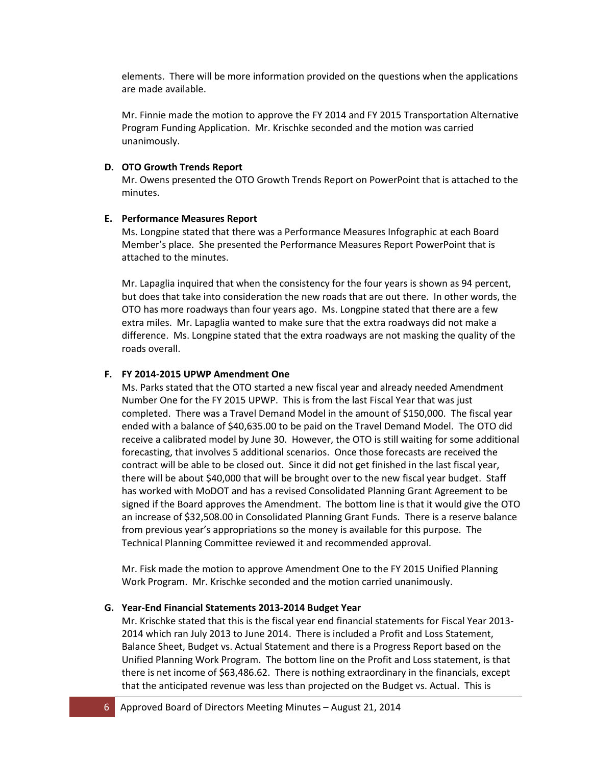elements. There will be more information provided on the questions when the applications are made available.

Mr. Finnie made the motion to approve the FY 2014 and FY 2015 Transportation Alternative Program Funding Application. Mr. Krischke seconded and the motion was carried unanimously.

#### **D. OTO Growth Trends Report**

Mr. Owens presented the OTO Growth Trends Report on PowerPoint that is attached to the minutes.

#### **E. Performance Measures Report**

Ms. Longpine stated that there was a Performance Measures Infographic at each Board Member's place. She presented the Performance Measures Report PowerPoint that is attached to the minutes.

Mr. Lapaglia inquired that when the consistency for the four years is shown as 94 percent, but does that take into consideration the new roads that are out there. In other words, the OTO has more roadways than four years ago. Ms. Longpine stated that there are a few extra miles. Mr. Lapaglia wanted to make sure that the extra roadways did not make a difference. Ms. Longpine stated that the extra roadways are not masking the quality of the roads overall.

# **F. FY 2014-2015 UPWP Amendment One**

Ms. Parks stated that the OTO started a new fiscal year and already needed Amendment Number One for the FY 2015 UPWP. This is from the last Fiscal Year that was just completed. There was a Travel Demand Model in the amount of \$150,000. The fiscal year ended with a balance of \$40,635.00 to be paid on the Travel Demand Model. The OTO did receive a calibrated model by June 30. However, the OTO is still waiting for some additional forecasting, that involves 5 additional scenarios. Once those forecasts are received the contract will be able to be closed out. Since it did not get finished in the last fiscal year, there will be about \$40,000 that will be brought over to the new fiscal year budget. Staff has worked with MoDOT and has a revised Consolidated Planning Grant Agreement to be signed if the Board approves the Amendment. The bottom line is that it would give the OTO an increase of \$32,508.00 in Consolidated Planning Grant Funds. There is a reserve balance from previous year's appropriations so the money is available for this purpose. The Technical Planning Committee reviewed it and recommended approval.

Mr. Fisk made the motion to approve Amendment One to the FY 2015 Unified Planning Work Program. Mr. Krischke seconded and the motion carried unanimously.

#### **G. Year-End Financial Statements 2013-2014 Budget Year**

Mr. Krischke stated that this is the fiscal year end financial statements for Fiscal Year 2013- 2014 which ran July 2013 to June 2014. There is included a Profit and Loss Statement, Balance Sheet, Budget vs. Actual Statement and there is a Progress Report based on the Unified Planning Work Program. The bottom line on the Profit and Loss statement, is that there is net income of \$63,486.62. There is nothing extraordinary in the financials, except that the anticipated revenue was less than projected on the Budget vs. Actual. This is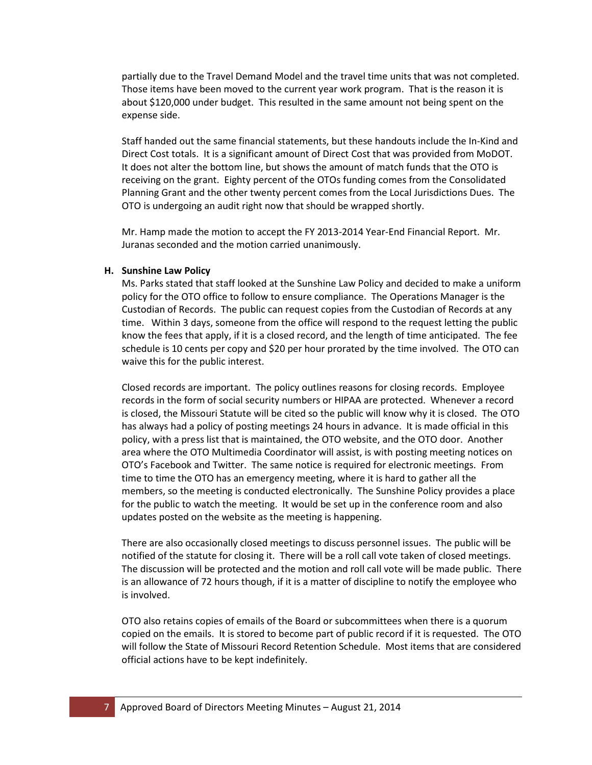partially due to the Travel Demand Model and the travel time units that was not completed. Those items have been moved to the current year work program. That is the reason it is about \$120,000 under budget. This resulted in the same amount not being spent on the expense side.

Staff handed out the same financial statements, but these handouts include the In-Kind and Direct Cost totals. It is a significant amount of Direct Cost that was provided from MoDOT. It does not alter the bottom line, but shows the amount of match funds that the OTO is receiving on the grant. Eighty percent of the OTOs funding comes from the Consolidated Planning Grant and the other twenty percent comes from the Local Jurisdictions Dues. The OTO is undergoing an audit right now that should be wrapped shortly.

Mr. Hamp made the motion to accept the FY 2013-2014 Year-End Financial Report. Mr. Juranas seconded and the motion carried unanimously.

#### **H. Sunshine Law Policy**

Ms. Parks stated that staff looked at the Sunshine Law Policy and decided to make a uniform policy for the OTO office to follow to ensure compliance. The Operations Manager is the Custodian of Records. The public can request copies from the Custodian of Records at any time. Within 3 days, someone from the office will respond to the request letting the public know the fees that apply, if it is a closed record, and the length of time anticipated. The fee schedule is 10 cents per copy and \$20 per hour prorated by the time involved. The OTO can waive this for the public interest.

Closed records are important. The policy outlines reasons for closing records. Employee records in the form of social security numbers or HIPAA are protected. Whenever a record is closed, the Missouri Statute will be cited so the public will know why it is closed. The OTO has always had a policy of posting meetings 24 hours in advance. It is made official in this policy, with a press list that is maintained, the OTO website, and the OTO door. Another area where the OTO Multimedia Coordinator will assist, is with posting meeting notices on OTO's Facebook and Twitter. The same notice is required for electronic meetings. From time to time the OTO has an emergency meeting, where it is hard to gather all the members, so the meeting is conducted electronically. The Sunshine Policy provides a place for the public to watch the meeting. It would be set up in the conference room and also updates posted on the website as the meeting is happening.

There are also occasionally closed meetings to discuss personnel issues. The public will be notified of the statute for closing it. There will be a roll call vote taken of closed meetings. The discussion will be protected and the motion and roll call vote will be made public. There is an allowance of 72 hours though, if it is a matter of discipline to notify the employee who is involved.

OTO also retains copies of emails of the Board or subcommittees when there is a quorum copied on the emails. It is stored to become part of public record if it is requested. The OTO will follow the State of Missouri Record Retention Schedule. Most items that are considered official actions have to be kept indefinitely.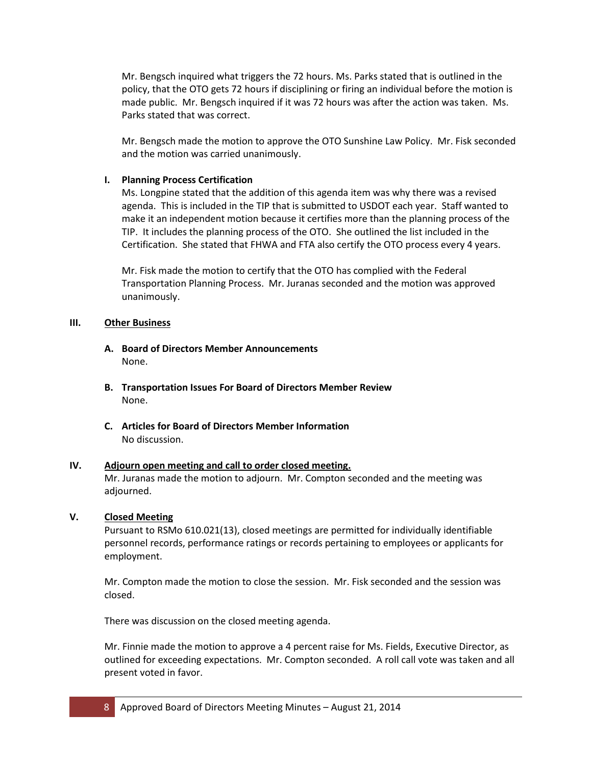Mr. Bengsch inquired what triggers the 72 hours. Ms. Parks stated that is outlined in the policy, that the OTO gets 72 hours if disciplining or firing an individual before the motion is made public. Mr. Bengsch inquired if it was 72 hours was after the action was taken. Ms. Parks stated that was correct.

Mr. Bengsch made the motion to approve the OTO Sunshine Law Policy. Mr. Fisk seconded and the motion was carried unanimously.

## **I. Planning Process Certification**

Ms. Longpine stated that the addition of this agenda item was why there was a revised agenda. This is included in the TIP that is submitted to USDOT each year. Staff wanted to make it an independent motion because it certifies more than the planning process of the TIP. It includes the planning process of the OTO. She outlined the list included in the Certification. She stated that FHWA and FTA also certify the OTO process every 4 years.

Mr. Fisk made the motion to certify that the OTO has complied with the Federal Transportation Planning Process. Mr. Juranas seconded and the motion was approved unanimously.

#### **III. Other Business**

- **A. Board of Directors Member Announcements** None.
- **B. Transportation Issues For Board of Directors Member Review** None.
- **C. Articles for Board of Directors Member Information** No discussion.

# **IV. Adjourn open meeting and call to order closed meeting.**

Mr. Juranas made the motion to adjourn. Mr. Compton seconded and the meeting was adjourned.

# **V. Closed Meeting**

Pursuant to RSMo 610.021(13), closed meetings are permitted for individually identifiable personnel records, performance ratings or records pertaining to employees or applicants for employment.

Mr. Compton made the motion to close the session. Mr. Fisk seconded and the session was closed.

There was discussion on the closed meeting agenda.

Mr. Finnie made the motion to approve a 4 percent raise for Ms. Fields, Executive Director, as outlined for exceeding expectations. Mr. Compton seconded. A roll call vote was taken and all present voted in favor.